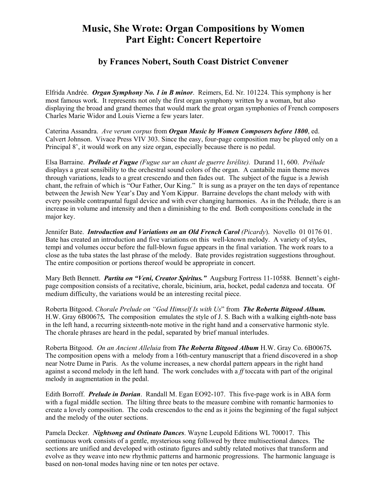## **Music, She Wrote: Organ Compositions by Women Part Eight: Concert Repertoire**

## **by Frances Nobert, South Coast District Convener**

Elfrida Andrée. *Organ Symphony No. 1 in B minor*. Reimers, Ed. Nr. 101224. This symphony is her most famous work. It represents not only the first organ symphony written by a woman, but also displaying the broad and grand themes that would mark the great organ symphonies of French composers Charles Marie Widor and Louis Vierne a few years later.

Caterina Assandra. *Ave verum corpus* from *Organ Music by Women Composers before 1800*, ed. Calvert Johnson. Vivace Press VIV 303. Since the easy, four-page composition may be played only on a Principal 8', it would work on any size organ, especially because there is no pedal.

Elsa Barraine. *Prélude et Fugue (Fugue sur un chant de guerre Isrélite).* Durand 11, 600. *Prélude* displays a great sensibility to the orchestral sound colors of the organ. A cantabile main theme moves through variations, leads to a great crescendo and then fades out. The subject of the fugue is a Jewish chant, the refrain of which is "Our Father, Our King." It is sung as a prayer on the ten days of repentance between the Jewish New Year's Day and Yom Kippur. Barraine develops the chant melody with with every possible contrapuntal fugal device and with ever changing harmonies. As in the Prélude, there is an increase in volume and intensity and then a diminishing to the end. Both compositions conclude in the major key.

Jennifer Bate. *Introduction and Variations on an Old French Carol (Picardy*). Novello 01 0176 01. Bate has created an introduction and five variations on this well-known melody. A variety of styles, tempi and volumes occur before the full-blown fugue appears in the final variation. The work roars to a close as the tuba states the last phrase of the melody. Bate provides registration suggestions throughout. The entire composition or portions thereof would be appropriate in concert.

Mary Beth Bennett. *Partita on "Veni, Creator Spiritus."* Augsburg Fortress 11-10588. Bennett's eightpage composition consists of a recitative, chorale, bicinium, aria, hocket, pedal cadenza and toccata. Of medium difficulty, the variations would be an interesting recital piece.

Roberta Bitgood. *Chorale Prelude on "God Himself Is with Us*" from *The Roberta Bitgood Album.*  H.W. Gray 6B00675*.* The compositionemulates the style of J. S. Bach with a walking eighth-note bass in the left hand, a recurring sixteenth-note motive in the right hand and a conservative harmonic style. The chorale phrases are heard in the pedal, separated by brief manual interludes.

Roberta Bitgood. *On an Ancient Alleluia* from *The Roberta Bitgood Album* H.W. Gray Co. 6B00675*.*  The composition opens with a melody from a 16th-century manuscript that a friend discovered in a shop near Notre Dame in Paris. As the volume increases, a new chordal pattern appears in the right hand against a second melody in the left hand. The work concludes with a *ff* toccata with part of the original melody in augmentation in the pedal.

Edith Borroff. *Prelude in Dorian*. Randall M. Egan EO92-107. This five-page work is in ABA form with a fugal middle section. The lilting three beats to the measure combine with romantic harmonies to create a lovely composition. The coda crescendos to the end as it joins the beginning of the fugal subject and the melody of the outer sections.

Pamela Decker. *Nightsong and Ostinato Dances*. Wayne Leupold Editions WL 700017. This continuous work consists of a gentle, mysterious song followed by three multisectional dances. The sections are unified and developed with ostinato figures and subtly related motives that transform and evolve as they weave into new rhythmic patterns and harmonic progressions. The harmonic language is based on non-tonal modes having nine or ten notes per octave.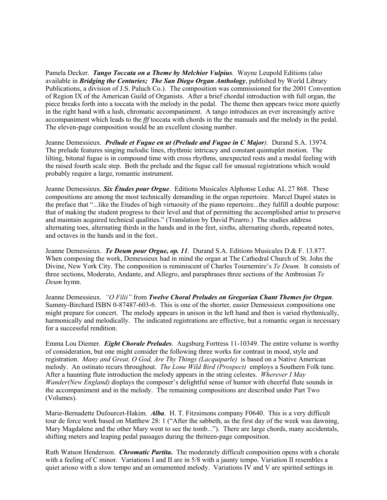Pamela Decker. *Tango Toccata on a Theme by Melchior Vulpius*. Wayne Leupold Editions (also available in *Bridging the Centuries; The San Diego Organ Anthology*, published by World Library Publications, a division of J.S. Paluch Co.). The composition was commissioned for the 2001 Convention of Region IX of the American Guild of Organists. After a brief chordal introduction with full organ, the piece breaks forth into a toccata with the melody in the pedal. The theme then appears twice more quietly in the right hand with a lush, chromatic accompaniment. A tango introduces an ever increasingly active accompaniment which leads to the *fff* toccata with chords in the the manuals and the melody in the pedal. The eleven-page composition would be an excellent closing number.

Jeanne Demessieux. *Prélude et Fugue en ut (Prelude and Fugue in C Major).* Durand S.A. 13974. The prelude features singing melodic lines, rhythmic intricacy and constant quintuplet motion. The lilting, bitonal fugue is in compound time with cross rhythms, unexpected rests and a modal feeling with the raised fourth scale step. Both the prelude and the fugue call for unusual registrations which would probably require a large, romantic instrument.

Jeanne Demessieux. *Six Études pour Orgue*. Editions Musicales Alphonse Leduc AL 27 868. These compositions are among the most technically demanding in the organ repertoire. Marcel Dupré states in the preface that "...like the Etudes of high virtuosity of the piano repertoire...they fulfill a double purpose: that of making the student progress to their level and that of permitting the accomplished artist to preserve and maintain acquired technical qualities." (Translation by David Pizarro.) The studies address alternating toes, alternating thirds in the hands and in the feet, sixths, alternating chords, repeated notes, and octaves in the hands and in the feet..

Jeanne Demessieux. *Te Deum pour Orgue, op. 11*. Durand S.A. Editions Musicales D.& F. 13.877. When composing the work, Demessieux had in mind the organ at The Cathedral Church of St. John the Divine, New York City. The composition is reminiscent of Charles Tournemire's *Te Deum.* It consists of three sections, Moderato, Andante, and Allegro, and paraphrases three sections of the Ambrosian *Te Deum* hymn.

Jeanne Demessieux. *"O Filii"* from *Twelve Choral Preludes on Gregorian Chant Themes for Organ*. Summy-Birchard ISBN 0-87487-603-6. This is one of the shorter, easier Demessieux compositions one might prepare for concert. The melody appears in unison in the left hand and then is varied rhythmically, harmonically and melodically. The indicated registrations are effective, but a romantic organ is necessary for a successful rendition.

Emma Lou Diemer. *Eight Chorale Preludes*. Augsburg Fortress 11-10349. The entire volume is worthy of consideration, but one might consider the following three works for contrast in mood, style and registration. *Many and Great, O God, Are Thy Things (Lacquiparle)* is based on a Native American melody. An ostinato recurs throughout. *The Lone Wild Bird (Prospect)* employs a Southern Folk tune. After a haunting flute introduction the melody appears in the string celestes. *Wherever I May Wander(New England)* displays the composer's delightful sense of humor with cheerful flute sounds in the accompaniment and in the melody. The remaining compositions are described under Part Two (Volumes).

Marie-Bernadette Dufourcet-Hakim. *Alba*. H. T. Fitzsimons company F0640. This is a very difficult tour de force work based on Matthew 28: 1 ("After the sabbeth, as the first day of the week was dawning, Mary Magdalene and the other Mary went to see the tomb..."). There are large chords, many accidentals, shifting meters and leaping pedal passages during the thriteen-page composition.

Ruth Watson Henderson. *Chromatic Partita***.** The moderately difficult composition opens with a chorale with a feeling of C minor. Variations I and II are in 5/8 with a jaunty tempo. Variation II resembles a quiet arioso with a slow tempo and an ornamented melody. Variations IV and V are spirited settings in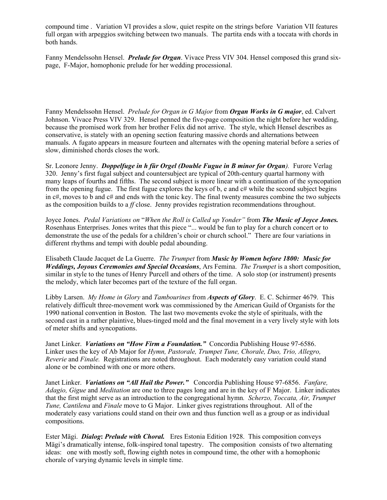compound time . Variation VI provides a slow, quiet respite on the strings before Variation VII features full organ with arpeggios switching between two manuals. The partita ends with a toccata with chords in both hands.

Fanny Mendelssohn Hensel. *Prelude for Organ*. Vivace Press VIV 304. Hensel composed this grand sixpage, F-Major, homophonic prelude for her wedding processional.

Fanny Mendelssohn Hensel. *Prelude for Organ in G Major* from *Organ Works in G major*, ed. Calvert Johnson. Vivace Press VIV 329. Hensel penned the five-page composition the night before her wedding, because the promised work from her brother Felix did not arrive. The style, which Hensel describes as conservative, is stately with an opening section featuring massive chords and alternations between manuals. A fugato appears in measure fourteen and alternates with the opening material before a series of slow, diminished chords closes the work.

Sr. Leonore Jenny. *Doppelfuge in h für Orgel (Double Fugue in B minor for Organ).* Furore Verlag 320. Jenny's first fugal subject and countersubject are typical of 20th-century quartal harmony with many leaps of fourths and fifths. The second subject is more linear with a continuation of the syncopation from the opening fugue. The first fugue explores the keys of b, e and c# while the second subject begins in c#, moves to b and c# and ends with the tonic key. The final twenty measures combine the two subjects as the composition builds to a *ff* close. Jenny provides registration recommendations throughout.

Joyce Jones. *Pedal Variations on* "*When the Roll is Called up Yonder"* from *The Music of Joyce Jones.*  Rosenhaus Enterprises. Jones writes that this piece "... would be fun to play for a church concert or to demonstrate the use of the pedals for a children's choir or church school." There are four variations in different rhythms and tempi with double pedal abounding.

Elisabeth Claude Jacquet de La Guerre. *The Trumpet* from *Music by Women before 1800: Music for Weddings, Joyous Ceremonies and Special Occasions*, Ars Femina. *The Trumpet* is a short composition, similar in style to the tunes of Henry Purcell and others of the time. A solo stop (or instrument) presents the melody, which later becomes part of the texture of the full organ.

Libby Larsen. *My Home in Glory* and *Tambourines* from *Aspects of Glory*. E. C. Schirmer 4679. This relatively difficult three-movement work was commissioned by the American Guild of Organists for the 1990 national convention in Boston. The last two movements evoke the style of spirituals, with the second cast in a rather plaintive, blues-tinged mold and the final movement in a very lively style with lots of meter shifts and syncopations.

Janet Linker. *Variations on "How Firm a Foundation."* Concordia Publishing House 97-6586. Linker uses the key of Ab Major for *Hymn, Pastorale, Trumpet Tune, Chorale, Duo, Trio, Allegro, Reverie* and *Finale.* Registrations are noted throughout.Each moderately easy variation could stand alone or be combined with one or more others.

Janet Linker. *Variations on "All Hail the Power."* Concordia Publishing House 97-6856. *Fanfare, Adagio, Gigue* and *Meditation* are one to three pages long and are in the key of F Major. Linker indicates that the first might serve as an introduction to the congregational hymn*. Scherzo, Toccata, Air, Trumpet Tune, Cantilena* and *Finale* move to G Major. Linker gives registrations throughout. All of the moderately easy variations could stand on their own and thus function well as a group or as individual compositions.

Ester Mägi. *Dialog***:** *Prelude with Choral.* Eres Estonia Edition 1928. This composition conveys Mägi's dramatically intense, folk-inspired tonal tapestry. The composition consists of two alternating ideas: one with mostly soft, flowing eighth notes in compound time, the other with a homophonic chorale of varying dynamic levels in simple time.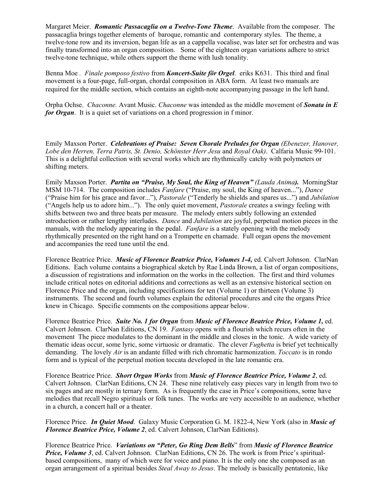Margaret Meier. *Romantic Passacaglia on a Twelve-Tone Theme*. Available from the composer. The passacaglia brings together elements of baroque, romantic and contemporary styles. The theme, a twelve-tone row and its inversion, began life as an a cappella vocalise, was later set for orchestra and was finally transformed into an organ composition. Some of the eighteen organ variations adhere to strict twelve-tone technique, while others support the theme with lush tonality.

Benna Moe *. Finale pomposo festivo* from *Koncert-Suite för Orgel*. eriks K631. This third and final movement is a four-page, full-organ, chordal composition in ABA form. At least two manuals are required for the middle section, which contains an eighth-note accompanying passage in the left hand.

Orpha Ochse. *Chaconne.* Avant Music. *Chaconne* was intended as the middle movement of *Sonata in E for Organ*. It is a quiet set of variations on a chord progression in f minor.

Emily Maxson Porter. *Celebrations of Praise: Seven Chorale Preludes for Organ (Ebenezer, Hanover, Lobe den Herren, Terra Patris, St. Denio, Schönster Herr Jesu* and *Royal Oak)*. Calfaria Music 99-101. This is a delightful collection with several works which are rhythmically catchy with polymeters or shifting meters.

Emily Maxson Porter. *Partita on "Praise, My Soul, the King of Heaven" (Lauda Anima).* MorningStar MSM 10-714. The composition includes *Fanfare* ("Praise, my soul, the King of heaven..."), *Dance* ("Praise him for his grace and favor..."), *Pastorale* ("Tenderly he shields and spares us...") and *Jubilation* ("Angels help us to adore him..."). The only quiet movement, *Pastorale* creates a swingy feeling with shifts between two and three beats per measure. The melody enters subtly following an extended introduction or rather lengthy interludes. *Dance* and *Jubilation* are joyful, perpetual motion pieces in the manuals, with the melody appearing in the pedal. *Fanfare* is a stately opening with the melody rhythmically presented on the right hand on a Trompette en chamade. Full organ opens the movement and accompanies the reed tune until the end.

Florence Beatrice Price. *Music of Florence Beatrice Price, Volumes 1-4,* ed. Calvert Johnson. ClarNan Editions. Each volume contains a biographical sketch by Rae Linda Brown, a list of organ compositions, a discussion of registrations and information on the works in the collection. The first and third volumes include critical notes on editorial additions and corrections as well as an extensive historical section on Florence Price and the organ, including specifications for ten (Volume 1) or thirteen (Volume 3) instruments. The second and fourth volumes explain the editorial procedures and cite the organs Price knew in Chicago. Specific comments on the compositions appear below.

Florence Beatrice Price. *Suite No. 1 for Organ* from *Music of Florence Beatrice Price, Volume 1,* ed. Calvert Johnson. ClarNan Editions, CN 19. *Fantasy* opens with a flourish which recurs often in the movement The piece modulates to the dominant in the middle and closes in the tonic. A wide variety of thematic ideas occur, some lyric, some virtuosic or dramatic. The clever *Fughetta* is brief yet technically demanding. The lovely *Air* is an andante filled with rich chromatic harmonization. *Toccato* is in rondo form and is typical of the perpetual motion toccata developed in the late romantic era.

Florence Beatrice Price. *Short Organ Works* from *Music of Florence Beatrice Price, Volume 2*, ed. Calvert Johnson. ClarNan Editions, CN 24. These nine relatively easy pieces vary in length from two to six pages and are mostly in ternary form. As is frequently the case in Price's compositions, some have melodies that recall Negro spirituals or folk tunes. The works are very accessible to an audience, whether in a church, a concert hall or a theater.

Florence Price. *In Quiet Mood*. Galaxy Music Corporation G. M. 1822-4, New York (also in *Music of Florence Beatrice Price, Volume 2, ed. Calvert Johnson, ClarNan Editions).* 

Florence Beatrice Price. *Variations on "Peter, Go Ring Dem Bells*" from *Music of Florence Beatrice Price, Volume 3, ed. Calvert Johnson. ClarNan Editions, CN 26. The work is from Price's spiritual*based compositions, many of which were for voice and piano. It is the only one she composed as an organ arrangement of a spiritual besides *Steal Away to Jesus*. The melody is basically pentatonic, like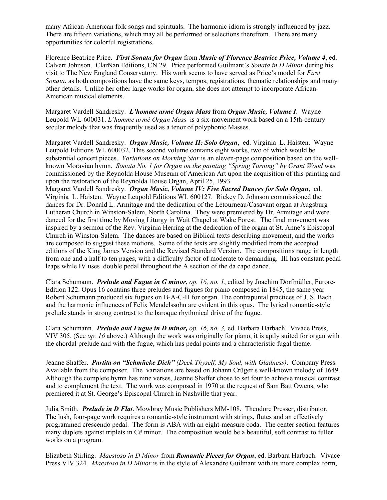many African-American folk songs and spirituals. The harmonic idiom is strongly influenced by jazz. There are fifteen variations, which may all be performed or selections therefrom. There are many opportunities for colorful registrations.

Florence Beatrice Price. *First Sonata for Organ* from *Music of Florence Beatrice Price, Volume 4*, ed. Calvert Johnson. ClarNan Editions, CN 29. Price performed Guilmant's *Sonata in D Minor* during his visit to The New England Conservatory. His work seems to have served as Price's model for *First Sonata*, as both compositions have the same keys, tempos, registrations, thematic relationships and many other details. Unlike her other large works for organ, she does not attempt to incorporate African-American musical elements.

Margaret Vardell Sandresky. *L'homme armé Organ Mass* from *Organ Music, Volume I*. Wayne Leupold WL-600031. *L'homme armé Organ Mass* is a six-movement work based on a 15th-century secular melody that was frequently used as a tenor of polyphonic Masses.

Margaret Vardell Sandresky. *Organ Music, Volume II: Solo Organ*, ed. Virginia L. Haisten. Wayne Leupold Editions WL 600032. This second volume contains eight works, two of which would be substantial concert pieces. *Variations on Morning Star* is an eleven-page composition based on the wellknown Moravian hymn. *Sonata No. 1 for Organ on the painting "Spring Turning" by Grant Wood* was commissioned by the Reynolda House Museum of American Art upon the acquisition of this painting and upon the restoration of the Reynolda House Organ, April 25, 1993.

Margaret Vardell Sandresky. *Organ Music, Volume IV: Five Sacred Dances for Solo Organ*, ed. Virginia L. Haisten. Wayne Leupold Editions WL 600127. Rickey D. Johnson commissioned the dances for Dr. Donald L. Armitage and the dedication of the Létourneau/Casavant organ at Augsburg Lutheran Church in Winston-Salem, North Carolina. They were premiered by Dr. Armitage and were danced for the first time by Moving Liturgy in Wait Chapel at Wake Forest. The final movement was inspired by a sermon of the Rev. Virginia Herring at the dedication of the organ at St. Anne's Episcopal Church in Winston-Salem. The dances are based on Biblical texts describing movement, and the works are composed to suggest these motions. Some of the texts are slightly modified from the accepted editions of the King James Version and the Revised Standard Version. The compositions range in length from one and a half to ten pages, with a difficulty factor of moderate to demanding. III has constant pedal leaps while IV uses double pedal throughout the A section of the da capo dance.

Clara Schumann.*Prelude and Fugue in G minor*, *op. 16, no. 1*, edited by Joachim Dorfmüller, Furore-Edition 122. Opus 16 contains three preludes and fugues for piano composed in 1845, the same year Robert Schumann produced six fugues on B-A-C-H for organ. The contrapuntal practices of J. S. Bach and the harmonic influences of Felix Mendelssohn are evident in this opus. The lyrical romantic-style prelude stands in strong contrast to the baroque rhythmical drive of the fugue.

Clara Schumann. *Prelude and Fugue in D minor, op. 16, no. 3,* ed. Barbara Harbach. Vivace Press, VIV 305. (See *op. 16* above.) Although the work was originally for piano, it is aptly suited for organ with the chordal prelude and with the fugue, which has pedal points and a characteristic fugal theme.

Jeanne Shaffer. *Partita on "Schmücke Dich" (Deck Thyself, My Soul, with Gladness)*. Company Press. Available from the composer. The variations are based on Johann Crüger's well-known melody of 1649. Although the complete hymn has nine verses, Jeanne Shaffer chose to set four to achieve musical contrast and to complement the text. The work was composed in 1970 at the request of Sam Batt Owens, who premiered it at St. George's Episcopal Church in Nashville that year.

Julia Smith. *Prelude in D Flat*. Mowbray Music Publishers MM-108. Theodore Presser, distributor. The lush, four-page work requires a romantic-style instrument with strings, flutes and an effectively programmed crescendo pedal. The form is ABA with an eight-measure coda. The center section features many duplets against triplets in C# minor. The composition would be a beautiful, soft contrast to fuller works on a program.

Elizabeth Stirling. *Maestoso in D Minor* from *Romantic Pieces for Organ*, ed. Barbara Harbach. Vivace Press VIV 324. *Maestoso in D Minor* is in the style of Alexandre Guilmant with its more complex form,